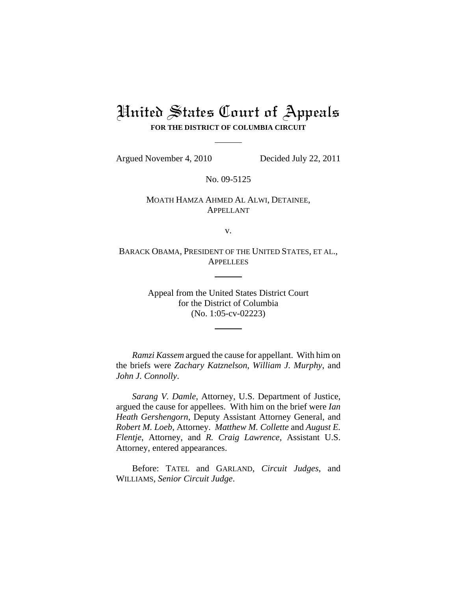# United States Court of Appeals **FOR THE DISTRICT OF COLUMBIA CIRCUIT**

Argued November 4, 2010 Decided July 22, 2011

No. 09-5125

## MOATH HAMZA AHMED AL ALWI, DETAINEE, APPELLANT

v.

BARACK OBAMA, PRESIDENT OF THE UNITED STATES, ET AL., **APPELLEES** 

> Appeal from the United States District Court for the District of Columbia (No. 1:05-cv-02223)

*Ramzi Kassem* argued the cause for appellant. With him on the briefs were *Zachary Katznelson*, *William J. Murphy*, and *John J. Connolly*.

*Sarang V. Damle*, Attorney, U.S. Department of Justice, argued the cause for appellees. With him on the brief were *Ian Heath Gershengorn*, Deputy Assistant Attorney General, and *Robert M. Loeb*, Attorney. *Matthew M. Collette* and *August E. Flentje*, Attorney, and *R. Craig Lawrence*, Assistant U.S. Attorney, entered appearances.

Before: TATEL and GARLAND, *Circuit Judges*, and WILLIAMS, *Senior Circuit Judge*.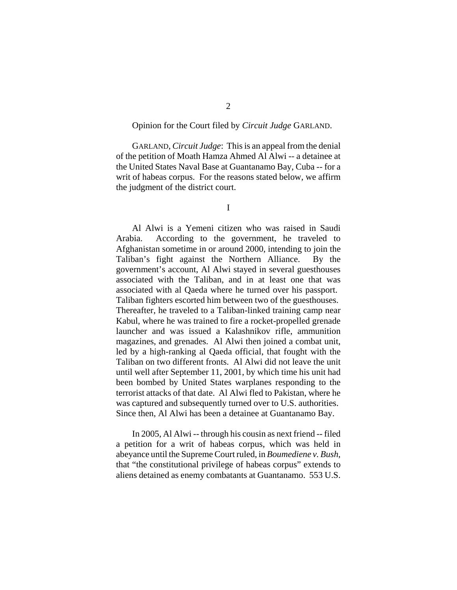#### Opinion for the Court filed by *Circuit Judge* GARLAND.

GARLAND, *Circuit Judge*: This is an appeal from the denial of the petition of Moath Hamza Ahmed Al Alwi -- a detainee at the United States Naval Base at Guantanamo Bay, Cuba -- for a writ of habeas corpus. For the reasons stated below, we affirm the judgment of the district court.

I

Al Alwi is a Yemeni citizen who was raised in Saudi Arabia. According to the government, he traveled to Afghanistan sometime in or around 2000, intending to join the Taliban's fight against the Northern Alliance. By the government's account, Al Alwi stayed in several guesthouses associated with the Taliban, and in at least one that was associated with al Qaeda where he turned over his passport. Taliban fighters escorted him between two of the guesthouses. Thereafter, he traveled to a Taliban-linked training camp near Kabul, where he was trained to fire a rocket-propelled grenade launcher and was issued a Kalashnikov rifle, ammunition magazines, and grenades. Al Alwi then joined a combat unit, led by a high-ranking al Qaeda official, that fought with the Taliban on two different fronts. Al Alwi did not leave the unit until well after September 11, 2001, by which time his unit had been bombed by United States warplanes responding to the terrorist attacks of that date. Al Alwi fled to Pakistan, where he was captured and subsequently turned over to U.S. authorities. Since then, Al Alwi has been a detainee at Guantanamo Bay.

In 2005, Al Alwi -- through his cousin as next friend -- filed a petition for a writ of habeas corpus, which was held in abeyance until the Supreme Court ruled, in *Boumediene v. Bush*, that "the constitutional privilege of habeas corpus" extends to aliens detained as enemy combatants at Guantanamo. 553 U.S.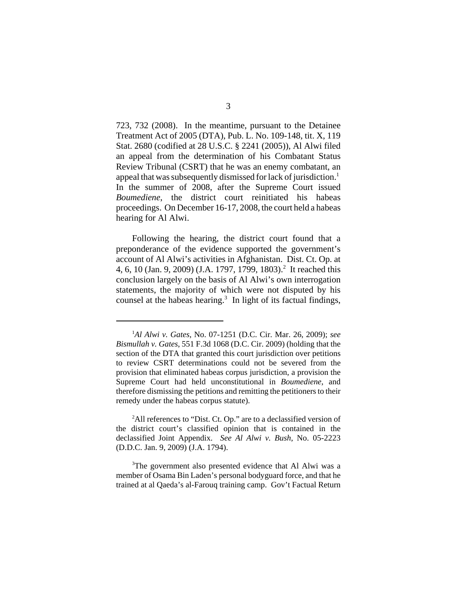723, 732 (2008). In the meantime, pursuant to the Detainee Treatment Act of 2005 (DTA), Pub. L. No. 109-148, tit. X, 119 Stat. 2680 (codified at 28 U.S.C. § 2241 (2005)), Al Alwi filed an appeal from the determination of his Combatant Status Review Tribunal (CSRT) that he was an enemy combatant, an appeal that was subsequently dismissed for lack of jurisdiction.<sup>1</sup> In the summer of 2008, after the Supreme Court issued *Boumediene*, the district court reinitiated his habeas proceedings. On December 16-17, 2008, the court held a habeas hearing for Al Alwi.

Following the hearing, the district court found that a preponderance of the evidence supported the government's account of Al Alwi's activities in Afghanistan. Dist. Ct. Op. at 4, 6, 10 (Jan. 9, 2009) (J.A. 1797, 1799, 1803).<sup>2</sup> It reached this conclusion largely on the basis of Al Alwi's own interrogation statements, the majority of which were not disputed by his counsel at the habeas hearing. $3$  In light of its factual findings,

<sup>2</sup>All references to "Dist. Ct. Op." are to a declassified version of the district court's classified opinion that is contained in the declassified Joint Appendix. *See Al Alwi v. Bush*, No. 05-2223 (D.D.C. Jan. 9, 2009) (J.A. 1794).

<sup>3</sup>The government also presented evidence that Al Alwi was a member of Osama Bin Laden's personal bodyguard force, and that he trained at al Qaeda's al-Farouq training camp. Gov't Factual Return

<sup>1</sup> *Al Alwi v. Gates*, No. 07-1251 (D.C. Cir. Mar. 26, 2009); *see Bismullah v. Gates*, 551 F.3d 1068 (D.C. Cir. 2009) (holding that the section of the DTA that granted this court jurisdiction over petitions to review CSRT determinations could not be severed from the provision that eliminated habeas corpus jurisdiction, a provision the Supreme Court had held unconstitutional in *Boumediene*, and therefore dismissing the petitions and remitting the petitioners to their remedy under the habeas corpus statute).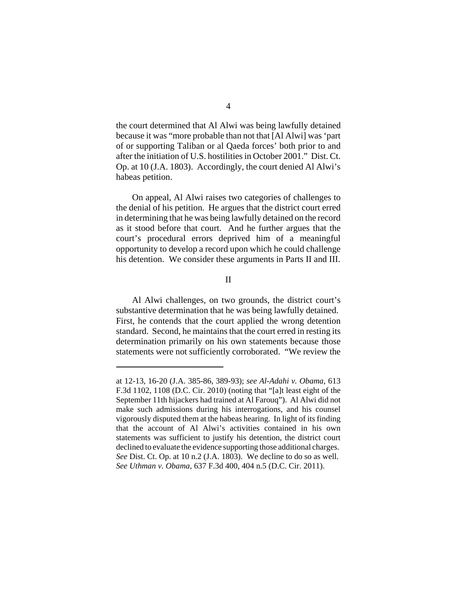the court determined that Al Alwi was being lawfully detained because it was "more probable than not that [Al Alwi] was 'part of or supporting Taliban or al Qaeda forces' both prior to and after the initiation of U.S. hostilities in October 2001." Dist. Ct. Op. at 10 (J.A. 1803). Accordingly, the court denied Al Alwi's habeas petition.

On appeal, Al Alwi raises two categories of challenges to the denial of his petition. He argues that the district court erred in determining that he was being lawfully detained on the record as it stood before that court. And he further argues that the court's procedural errors deprived him of a meaningful opportunity to develop a record upon which he could challenge his detention. We consider these arguments in Parts II and III.

II

Al Alwi challenges, on two grounds, the district court's substantive determination that he was being lawfully detained. First, he contends that the court applied the wrong detention standard. Second, he maintains that the court erred in resting its determination primarily on his own statements because those statements were not sufficiently corroborated. "We review the

at 12-13, 16-20 (J.A. 385-86, 389-93); *see Al-Adahi v. Obama*, 613 F.3d 1102, 1108 (D.C. Cir. 2010) (noting that "[a]t least eight of the September 11th hijackers had trained at Al Farouq"). Al Alwi did not make such admissions during his interrogations, and his counsel vigorously disputed them at the habeas hearing. In light of its finding that the account of Al Alwi's activities contained in his own statements was sufficient to justify his detention, the district court declined to evaluate the evidence supporting those additional charges. *See* Dist. Ct. Op. at 10 n.2 (J.A. 1803). We decline to do so as well. *See Uthman v. Obama*, 637 F.3d 400, 404 n.5 (D.C. Cir. 2011).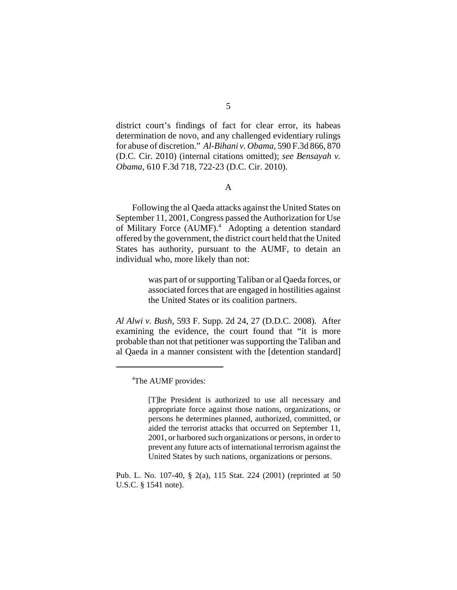district court's findings of fact for clear error, its habeas determination de novo, and any challenged evidentiary rulings for abuse of discretion." *Al-Bihani v. Obama*, 590 F.3d 866, 870 (D.C. Cir. 2010) (internal citations omitted); *see Bensayah v. Obama*, 610 F.3d 718, 722-23 (D.C. Cir. 2010).

#### A

Following the al Qaeda attacks against the United States on September 11, 2001, Congress passed the Authorization for Use of Military Force (AUMF).<sup>4</sup> Adopting a detention standard offered by the government, the district court held that the United States has authority, pursuant to the AUMF, to detain an individual who, more likely than not:

> was part of or supporting Taliban or al Qaeda forces, or associated forces that are engaged in hostilities against the United States or its coalition partners.

*Al Alwi v. Bush*, 593 F. Supp. 2d 24, 27 (D.D.C. 2008). After examining the evidence, the court found that "it is more probable than not that petitioner was supporting the Taliban and al Qaeda in a manner consistent with the [detention standard]

<sup>&</sup>lt;sup>4</sup>The AUMF provides:

<sup>[</sup>T]he President is authorized to use all necessary and appropriate force against those nations, organizations, or persons he determines planned, authorized, committed, or aided the terrorist attacks that occurred on September 11, 2001, or harbored such organizations or persons, in order to prevent any future acts of international terrorism against the United States by such nations, organizations or persons.

Pub. L. No. 107-40, § 2(a), 115 Stat. 224 (2001) (reprinted at 50 U.S.C. § 1541 note).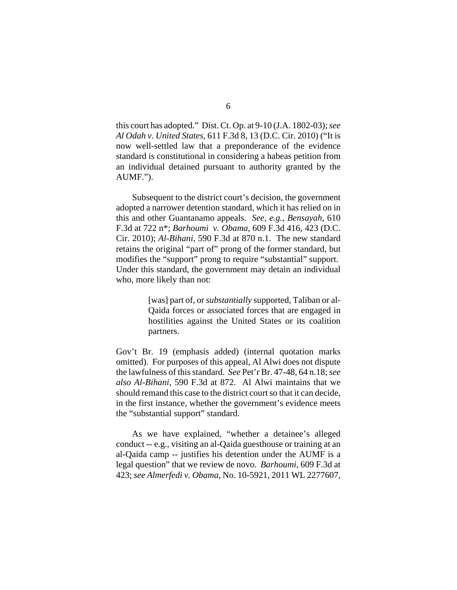this court has adopted." Dist. Ct. Op. at 9-10 (J.A. 1802-03); *see Al Odah v. United States*, 611 F.3d 8, 13 (D.C. Cir. 2010) ("It is now well-settled law that a preponderance of the evidence standard is constitutional in considering a habeas petition from an individual detained pursuant to authority granted by the AUMF.").

Subsequent to the district court's decision, the government adopted a narrower detention standard, which it has relied on in this and other Guantanamo appeals. *See, e.g.*, *Bensayah*, 610 F.3d at 722 n\*; *Barhoumi v. Obama*, 609 F.3d 416, 423 (D.C. Cir. 2010); *Al-Bihani*, 590 F.3d at 870 n.1. The new standard retains the original "part of" prong of the former standard, but modifies the "support" prong to require "substantial" support. Under this standard, the government may detain an individual who, more likely than not:

> [was] part of, or *substantially* supported, Taliban or al-Qaida forces or associated forces that are engaged in hostilities against the United States or its coalition partners.

Gov't Br. 19 (emphasis added) (internal quotation marks omitted). For purposes of this appeal, Al Alwi does not dispute the lawfulness of this standard. *See* Pet'r Br. 47-48, 64 n.18; *see also Al-Bihani*, 590 F.3d at 872. Al Alwi maintains that we should remand this case to the district court so that it can decide, in the first instance, whether the government's evidence meets the "substantial support" standard.

As we have explained, "whether a detainee's alleged conduct -- e.g., visiting an al-Qaida guesthouse or training at an al-Qaida camp -- justifies his detention under the AUMF is a legal question" that we review de novo. *Barhoumi*, 609 F.3d at 423; *see Almerfedi v. Obama*, No. 10-5921, 2011 WL 2277607,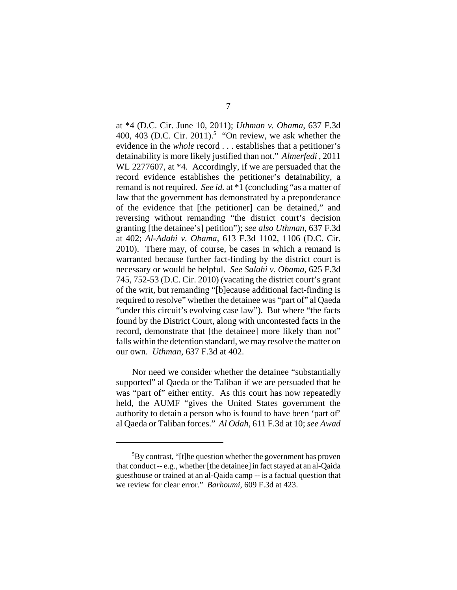at \*4 (D.C. Cir. June 10, 2011); *Uthman v. Obama*, 637 F.3d 400, 403 (D.C. Cir. 2011).<sup>5</sup> "On review, we ask whether the evidence in the *whole* record . . . establishes that a petitioner's detainability is more likely justified than not." *Almerfedi* , 2011 WL 2277607, at  $*4$ . Accordingly, if we are persuaded that the record evidence establishes the petitioner's detainability, a remand is not required. *See id.* at \*1 (concluding "as a matter of law that the government has demonstrated by a preponderance of the evidence that [the petitioner] can be detained," and reversing without remanding "the district court's decision granting [the detainee's] petition"); *see also Uthman*, 637 F.3d at 402; *Al-Adahi v. Obama*, 613 F.3d 1102, 1106 (D.C. Cir. 2010). There may, of course, be cases in which a remand is warranted because further fact-finding by the district court is necessary or would be helpful. *See Salahi v. Obama*, 625 F.3d 745, 752-53 (D.C. Cir. 2010) (vacating the district court's grant of the writ, but remanding "[b]ecause additional fact-finding is required to resolve" whether the detainee was "part of" al Qaeda "under this circuit's evolving case law"). But where "the facts found by the District Court, along with uncontested facts in the record, demonstrate that [the detainee] more likely than not" falls within the detention standard, we may resolve the matter on our own. *Uthman*, 637 F.3d at 402.

Nor need we consider whether the detainee "substantially supported" al Qaeda or the Taliban if we are persuaded that he was "part of" either entity. As this court has now repeatedly held, the AUMF "gives the United States government the authority to detain a person who is found to have been 'part of' al Qaeda or Taliban forces." *Al Odah*, 611 F.3d at 10; *see Awad*

<sup>&</sup>lt;sup>5</sup>By contrast, "[t]he question whether the government has proven that conduct -- e.g., whether [the detainee] in fact stayed at an al-Qaida guesthouse or trained at an al-Qaida camp -- is a factual question that we review for clear error." *Barhoumi*, 609 F.3d at 423.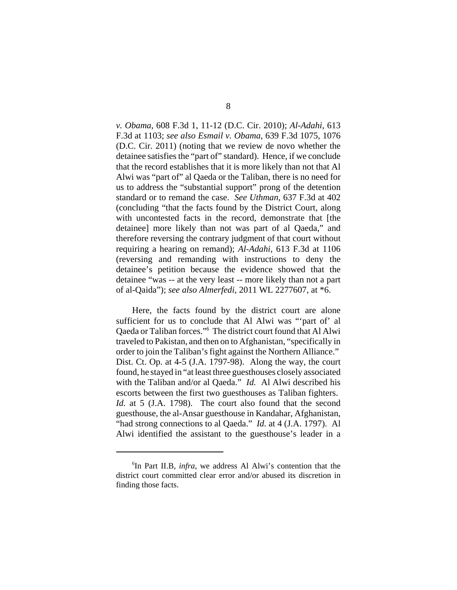*v. Obama*, 608 F.3d 1, 11-12 (D.C. Cir. 2010); *Al-Adahi*, 613 F.3d at 1103; *see also Esmail v. Obama*, 639 F.3d 1075, 1076 (D.C. Cir. 2011) (noting that we review de novo whether the detainee satisfies the "part of" standard). Hence, if we conclude that the record establishes that it is more likely than not that Al Alwi was "part of" al Qaeda or the Taliban, there is no need for us to address the "substantial support" prong of the detention standard or to remand the case. *See Uthman*, 637 F.3d at 402 (concluding "that the facts found by the District Court, along with uncontested facts in the record, demonstrate that [the detainee] more likely than not was part of al Qaeda," and therefore reversing the contrary judgment of that court without requiring a hearing on remand); *Al-Adahi*, 613 F.3d at 1106 (reversing and remanding with instructions to deny the detainee's petition because the evidence showed that the detainee "was -- at the very least -- more likely than not a part of al-Qaida"); *see also Almerfedi*, 2011 WL 2277607, at \*6.

Here, the facts found by the district court are alone sufficient for us to conclude that Al Alwi was "'part of' al Qaeda or Taliban forces."6 The district court found that Al Alwi traveled to Pakistan, and then on to Afghanistan, "specifically in order to join the Taliban's fight against the Northern Alliance." Dist. Ct. Op. at 4-5 (J.A. 1797-98). Along the way, the court found, he stayed in "at least three guesthouses closely associated with the Taliban and/or al Qaeda." *Id.* Al Alwi described his escorts between the first two guesthouses as Taliban fighters. *Id.* at 5 (J.A. 1798). The court also found that the second guesthouse, the al-Ansar guesthouse in Kandahar, Afghanistan, "had strong connections to al Qaeda." *Id.* at 4 (J.A. 1797). Al Alwi identified the assistant to the guesthouse's leader in a

<sup>6</sup> In Part II.B, *infra*, we address Al Alwi's contention that the district court committed clear error and/or abused its discretion in finding those facts.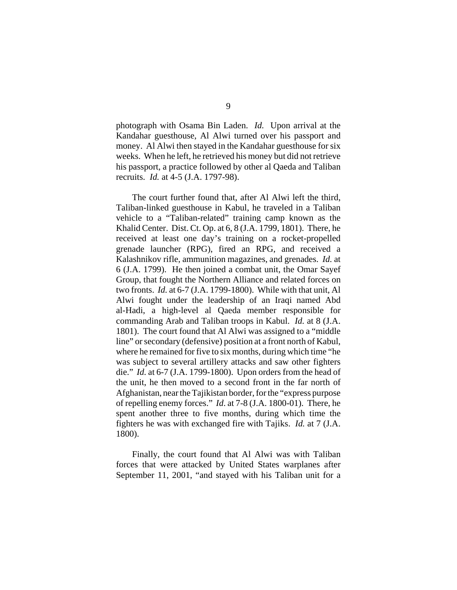photograph with Osama Bin Laden. *Id.* Upon arrival at the Kandahar guesthouse, Al Alwi turned over his passport and money. Al Alwi then stayed in the Kandahar guesthouse for six weeks. When he left, he retrieved his money but did not retrieve his passport, a practice followed by other al Qaeda and Taliban recruits. *Id.* at 4-5 (J.A. 1797-98).

The court further found that, after Al Alwi left the third, Taliban-linked guesthouse in Kabul, he traveled in a Taliban vehicle to a "Taliban-related" training camp known as the Khalid Center. Dist. Ct. Op. at 6, 8 (J.A. 1799, 1801). There, he received at least one day's training on a rocket-propelled grenade launcher (RPG), fired an RPG, and received a Kalashnikov rifle, ammunition magazines, and grenades. *Id.* at 6 (J.A. 1799). He then joined a combat unit, the Omar Sayef Group, that fought the Northern Alliance and related forces on two fronts. *Id.* at 6-7 (J.A. 1799-1800). While with that unit, Al Alwi fought under the leadership of an Iraqi named Abd al-Hadi, a high-level al Qaeda member responsible for commanding Arab and Taliban troops in Kabul. *Id.* at 8 (J.A. 1801). The court found that Al Alwi was assigned to a "middle line" or secondary (defensive) position at a front north of Kabul, where he remained for five to six months, during which time "he was subject to several artillery attacks and saw other fighters die." *Id.* at 6-7 (J.A. 1799-1800). Upon orders from the head of the unit, he then moved to a second front in the far north of Afghanistan, near the Tajikistan border, for the "express purpose of repelling enemy forces." *Id*. at 7-8 (J.A. 1800-01). There, he spent another three to five months, during which time the fighters he was with exchanged fire with Tajiks. *Id.* at 7 (J.A. 1800).

Finally, the court found that Al Alwi was with Taliban forces that were attacked by United States warplanes after September 11, 2001, "and stayed with his Taliban unit for a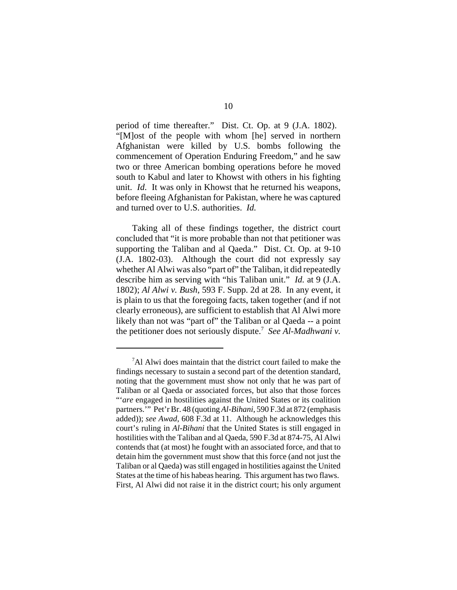period of time thereafter." Dist. Ct. Op. at 9 (J.A. 1802). "[M]ost of the people with whom [he] served in northern Afghanistan were killed by U.S. bombs following the commencement of Operation Enduring Freedom," and he saw two or three American bombing operations before he moved south to Kabul and later to Khowst with others in his fighting unit. *Id*. It was only in Khowst that he returned his weapons, before fleeing Afghanistan for Pakistan, where he was captured and turned over to U.S. authorities. *Id.*

Taking all of these findings together, the district court concluded that "it is more probable than not that petitioner was supporting the Taliban and al Qaeda." Dist. Ct. Op. at 9-10 (J.A. 1802-03). Although the court did not expressly say whether Al Alwi was also "part of" the Taliban, it did repeatedly describe him as serving with "his Taliban unit." *Id.* at 9 (J.A. 1802); *Al Alwi v. Bush*, 593 F. Supp. 2d at 28. In any event, it is plain to us that the foregoing facts, taken together (and if not clearly erroneous), are sufficient to establish that Al Alwi more likely than not was "part of" the Taliban or al Qaeda -- a point the petitioner does not seriously dispute.7 *See Al-Madhwani v.*

<sup>&</sup>lt;sup>7</sup>Al Alwi does maintain that the district court failed to make the findings necessary to sustain a second part of the detention standard, noting that the government must show not only that he was part of Taliban or al Qaeda or associated forces, but also that those forces "'*are* engaged in hostilities against the United States or its coalition partners.'" Pet'r Br. 48 (quoting *Al-Bihani*, 590 F.3d at 872 (emphasis added)); *see Awad*, 608 F.3d at 11. Although he acknowledges this court's ruling in *Al-Bihani* that the United States is still engaged in hostilities with the Taliban and al Qaeda, 590 F.3d at 874-75, Al Alwi contends that (at most) he fought with an associated force, and that to detain him the government must show that this force (and not just the Taliban or al Qaeda) was still engaged in hostilities against the United States at the time of his habeas hearing. This argument has two flaws. First, Al Alwi did not raise it in the district court; his only argument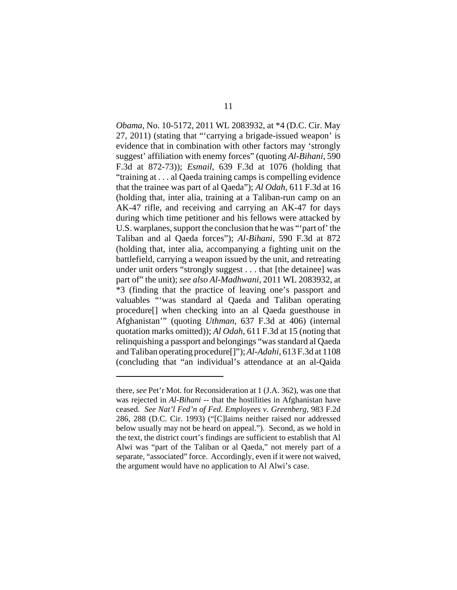*Obama*, No. 10-5172, 2011 WL 2083932, at \*4 (D.C. Cir. May 27, 2011) (stating that "'carrying a brigade-issued weapon' is evidence that in combination with other factors may 'strongly suggest' affiliation with enemy forces" (quoting *Al-Bihani*, 590 F.3d at 872-73)); *Esmail*, 639 F.3d at 1076 (holding that "training at . . . al Qaeda training camps is compelling evidence that the trainee was part of al Qaeda"); *Al Odah*, 611 F.3d at 16 (holding that, inter alia, training at a Taliban-run camp on an AK-47 rifle, and receiving and carrying an AK-47 for days during which time petitioner and his fellows were attacked by U.S. warplanes, support the conclusion that he was "'part of' the Taliban and al Qaeda forces"); *Al-Bihani*, 590 F.3d at 872 (holding that, inter alia, accompanying a fighting unit on the battlefield, carrying a weapon issued by the unit, and retreating under unit orders "strongly suggest . . . that [the detainee] was part of" the unit); *see also Al-Madhwani*, 2011 WL 2083932, at \*3 (finding that the practice of leaving one's passport and valuables "'was standard al Qaeda and Taliban operating procedure[] when checking into an al Qaeda guesthouse in Afghanistan'" (quoting *Uthman*, 637 F.3d at 406) (internal quotation marks omitted)); *Al Odah*, 611 F.3d at 15 (noting that relinquishing a passport and belongings "was standard al Qaeda and Taliban operating procedure[]"); *Al-Adahi*, 613 F.3d at 1108 (concluding that "an individual's attendance at an al-Qaida

there, *see* Pet'r Mot. for Reconsideration at 1 (J.A. 362), was one that was rejected in *Al-Bihani* -- that the hostilities in Afghanistan have ceased. *See Nat'l Fed'n of Fed. Employees v. Greenberg*, 983 F.2d 286, 288 (D.C. Cir. 1993) ("[C]laims neither raised nor addressed below usually may not be heard on appeal."). Second, as we hold in the text, the district court's findings are sufficient to establish that Al Alwi was "part of the Taliban or al Qaeda," not merely part of a separate, "associated" force. Accordingly, even if it were not waived, the argument would have no application to Al Alwi's case.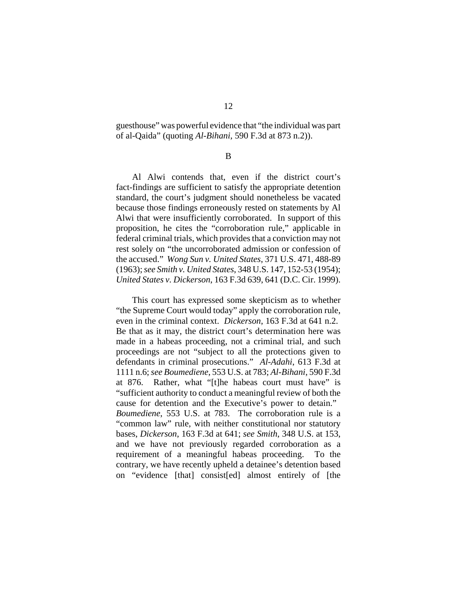guesthouse" was powerful evidence that "the individual was part of al-Qaida" (quoting *Al-Bihani*, 590 F.3d at 873 n.2)).

B

Al Alwi contends that, even if the district court's fact-findings are sufficient to satisfy the appropriate detention standard, the court's judgment should nonetheless be vacated because those findings erroneously rested on statements by Al Alwi that were insufficiently corroborated. In support of this proposition, he cites the "corroboration rule," applicable in federal criminal trials, which provides that a conviction may not rest solely on "the uncorroborated admission or confession of the accused." *Wong Sun v. United States*, 371 U.S. 471, 488-89 (1963); *see Smith v. United States*, 348 U.S. 147, 152-53 (1954); *United States v. Dickerson*, 163 F.3d 639, 641 (D.C. Cir. 1999).

This court has expressed some skepticism as to whether "the Supreme Court would today" apply the corroboration rule, even in the criminal context. *Dickerson*, 163 F.3d at 641 n.2. Be that as it may, the district court's determination here was made in a habeas proceeding, not a criminal trial, and such proceedings are not "subject to all the protections given to defendants in criminal prosecutions." *Al-Adahi*, 613 F.3d at 1111 n.6; *see Boumediene*, 553 U.S. at 783; *Al-Bihani*, 590 F.3d at 876. Rather, what "[t]he habeas court must have" is "sufficient authority to conduct a meaningful review of both the cause for detention and the Executive's power to detain." *Boumediene*, 553 U.S. at 783. The corroboration rule is a "common law" rule, with neither constitutional nor statutory bases, *Dickerson*, 163 F.3d at 641; *see Smith*, 348 U.S. at 153, and we have not previously regarded corroboration as a requirement of a meaningful habeas proceeding. To the contrary, we have recently upheld a detainee's detention based on "evidence [that] consist[ed] almost entirely of [the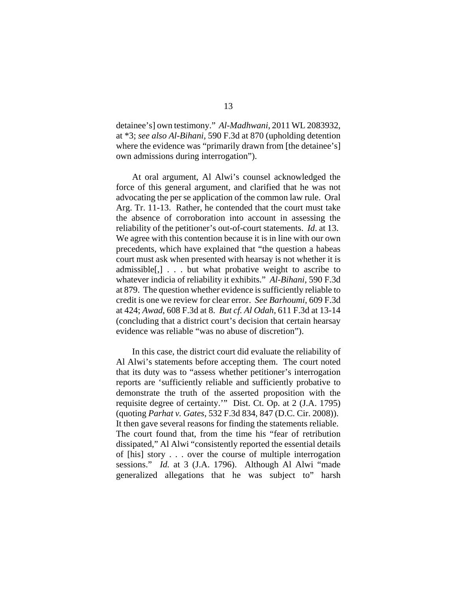detainee's] own testimony." *Al-Madhwani*, 2011 WL 2083932, at \*3; *see also Al-Bihani*, 590 F.3d at 870 (upholding detention where the evidence was "primarily drawn from [the detainee's] own admissions during interrogation").

At oral argument, Al Alwi's counsel acknowledged the force of this general argument, and clarified that he was not advocating the per se application of the common law rule. Oral Arg. Tr. 11-13. Rather, he contended that the court must take the absence of corroboration into account in assessing the reliability of the petitioner's out-of-court statements. *Id*. at 13. We agree with this contention because it is in line with our own precedents, which have explained that "the question a habeas court must ask when presented with hearsay is not whether it is admissible[,] . . . but what probative weight to ascribe to whatever indicia of reliability it exhibits." *Al-Bihani*, 590 F.3d at 879. The question whether evidence is sufficiently reliable to credit is one we review for clear error. *See Barhoumi*, 609 F.3d at 424; *Awad*, 608 F.3d at 8. *But cf. Al Odah*, 611 F.3d at 13-14 (concluding that a district court's decision that certain hearsay evidence was reliable "was no abuse of discretion").

In this case, the district court did evaluate the reliability of Al Alwi's statements before accepting them. The court noted that its duty was to "assess whether petitioner's interrogation reports are 'sufficiently reliable and sufficiently probative to demonstrate the truth of the asserted proposition with the requisite degree of certainty.'" Dist. Ct. Op. at 2 (J.A. 1795) (quoting *Parhat v. Gates*, 532 F.3d 834, 847 (D.C. Cir. 2008)). It then gave several reasons for finding the statements reliable. The court found that, from the time his "fear of retribution dissipated," Al Alwi "consistently reported the essential details of [his] story . . . over the course of multiple interrogation sessions." *Id.* at 3 (J.A. 1796). Although Al Alwi "made generalized allegations that he was subject to" harsh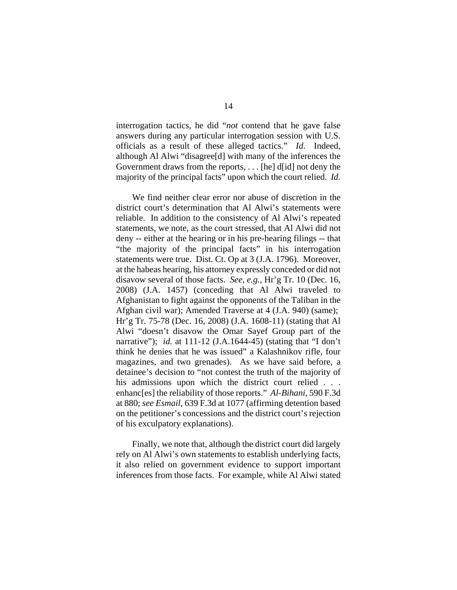interrogation tactics, he did "*not* contend that he gave false answers during any particular interrogation session with U.S. officials as a result of these alleged tactics." *Id*. Indeed, although Al Alwi "disagree[d] with many of the inferences the Government draws from the reports, . . . [he] d[id] not deny the majority of the principal facts" upon which the court relied. *Id.*

We find neither clear error nor abuse of discretion in the district court's determination that Al Alwi's statements were reliable. In addition to the consistency of Al Alwi's repeated statements, we note, as the court stressed, that Al Alwi did not deny -- either at the hearing or in his pre-hearing filings -- that "the majority of the principal facts" in his interrogation statements were true. Dist. Ct. Op at 3 (J.A. 1796). Moreover, at the habeas hearing, his attorney expressly conceded or did not disavow several of those facts. *See, e.g.*, Hr'g Tr. 10 (Dec. 16, 2008) (J.A. 1457) (conceding that Al Alwi traveled to Afghanistan to fight against the opponents of the Taliban in the Afghan civil war); Amended Traverse at 4 (J.A. 940) (same); Hr'g Tr. 75-78 (Dec. 16, 2008) (J.A. 1608-11) (stating that Al Alwi "doesn't disavow the Omar Sayef Group part of the narrative"); *id.* at 111-12 (J.A.1644-45) (stating that "I don't think he denies that he was issued" a Kalashnikov rifle, four magazines, and two grenades). As we have said before, a detainee's decision to "not contest the truth of the majority of his admissions upon which the district court relied . . . enhanc[es] the reliability of those reports." *Al-Bihani*, 590 F.3d at 880; *see Esmail*, 639 F.3d at 1077 (affirming detention based on the petitioner's concessions and the district court's rejection of his exculpatory explanations).

Finally, we note that, although the district court did largely rely on Al Alwi's own statements to establish underlying facts, it also relied on government evidence to support important inferences from those facts. For example, while Al Alwi stated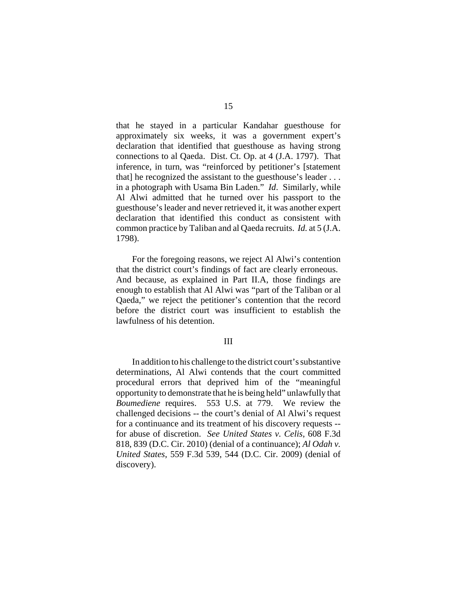that he stayed in a particular Kandahar guesthouse for approximately six weeks, it was a government expert's declaration that identified that guesthouse as having strong connections to al Qaeda. Dist. Ct. Op. at 4 (J.A. 1797). That inference, in turn, was "reinforced by petitioner's [statement that] he recognized the assistant to the guesthouse's leader ... in a photograph with Usama Bin Laden." *Id*. Similarly, while Al Alwi admitted that he turned over his passport to the guesthouse's leader and never retrieved it, it was another expert declaration that identified this conduct as consistent with common practice by Taliban and al Qaeda recruits. *Id.* at 5 (J.A. 1798).

For the foregoing reasons, we reject Al Alwi's contention that the district court's findings of fact are clearly erroneous. And because, as explained in Part II.A, those findings are enough to establish that Al Alwi was "part of the Taliban or al Qaeda," we reject the petitioner's contention that the record before the district court was insufficient to establish the lawfulness of his detention.

### III

In addition to his challenge to the district court's substantive determinations, Al Alwi contends that the court committed procedural errors that deprived him of the "meaningful opportunity to demonstrate that he is being held" unlawfully that *Boumediene* requires. 553 U.S. at 779. We review the challenged decisions -- the court's denial of Al Alwi's request for a continuance and its treatment of his discovery requests - for abuse of discretion. *See United States v. Celis*, 608 F.3d 818, 839 (D.C. Cir. 2010) (denial of a continuance); *Al Odah v. United States*, 559 F.3d 539, 544 (D.C. Cir. 2009) (denial of discovery).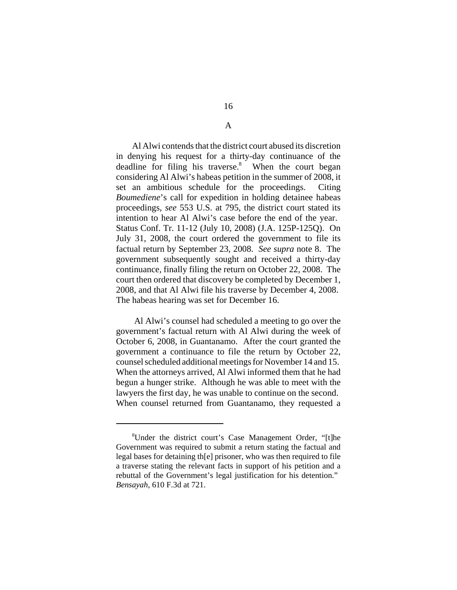Al Alwi contends that the district court abused its discretion in denying his request for a thirty-day continuance of the deadline for filing his traverse.<sup>8</sup> When the court began considering Al Alwi's habeas petition in the summer of 2008, it set an ambitious schedule for the proceedings. Citing *Boumediene*'s call for expedition in holding detainee habeas proceedings, *see* 553 U.S. at 795, the district court stated its intention to hear Al Alwi's case before the end of the year. Status Conf. Tr. 11-12 (July 10, 2008) (J.A. 125P-125Q). On July 31, 2008, the court ordered the government to file its factual return by September 23, 2008. *See supra* note 8. The government subsequently sought and received a thirty-day continuance, finally filing the return on October 22, 2008. The court then ordered that discovery be completed by December 1, 2008, and that Al Alwi file his traverse by December 4, 2008. The habeas hearing was set for December 16.

 Al Alwi's counsel had scheduled a meeting to go over the government's factual return with Al Alwi during the week of October 6, 2008, in Guantanamo. After the court granted the government a continuance to file the return by October 22, counsel scheduled additional meetings for November 14 and 15. When the attorneys arrived, Al Alwi informed them that he had begun a hunger strike. Although he was able to meet with the lawyers the first day, he was unable to continue on the second. When counsel returned from Guantanamo, they requested a

A

<sup>8</sup> Under the district court's Case Management Order, "[t]he Government was required to submit a return stating the factual and legal bases for detaining th[e] prisoner, who was then required to file a traverse stating the relevant facts in support of his petition and a rebuttal of the Government's legal justification for his detention." *Bensayah*, 610 F.3d at 721.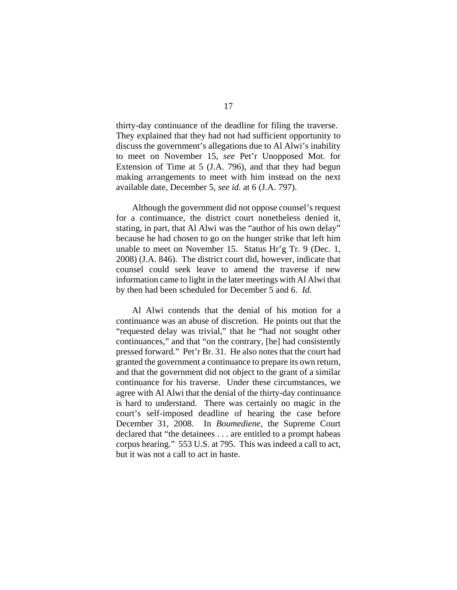thirty-day continuance of the deadline for filing the traverse. They explained that they had not had sufficient opportunity to discuss the government's allegations due to Al Alwi's inability to meet on November 15, *see* Pet'r Unopposed Mot. for Extension of Time at 5 (J.A. 796), and that they had begun making arrangements to meet with him instead on the next available date, December 5, *see id.* at 6 (J.A. 797).

Although the government did not oppose counsel's request for a continuance, the district court nonetheless denied it, stating, in part, that Al Alwi was the "author of his own delay" because he had chosen to go on the hunger strike that left him unable to meet on November 15. Status Hr'g Tr. 9 (Dec. 1, 2008) (J.A. 846). The district court did, however, indicate that counsel could seek leave to amend the traverse if new information came to light in the later meetings with Al Alwi that by then had been scheduled for December 5 and 6. *Id.*

Al Alwi contends that the denial of his motion for a continuance was an abuse of discretion. He points out that the "requested delay was trivial," that he "had not sought other continuances," and that "on the contrary, [he] had consistently pressed forward." Pet'r Br. 31. He also notes that the court had granted the government a continuance to prepare its own return, and that the government did not object to the grant of a similar continuance for his traverse. Under these circumstances, we agree with Al Alwi that the denial of the thirty-day continuance is hard to understand. There was certainly no magic in the court's self-imposed deadline of hearing the case before December 31, 2008. In *Boumediene*, the Supreme Court declared that "the detainees . . . are entitled to a prompt habeas corpus hearing." 553 U.S. at 795. This was indeed a call to act, but it was not a call to act in haste.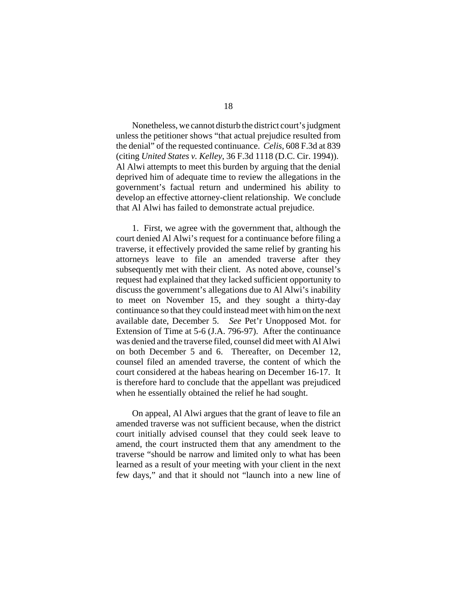Nonetheless, we cannot disturb the district court's judgment unless the petitioner shows "that actual prejudice resulted from the denial" of the requested continuance. *Celis*, 608 F.3d at 839 (citing *United States v. Kelley*, 36 F.3d 1118 (D.C. Cir. 1994)). Al Alwi attempts to meet this burden by arguing that the denial deprived him of adequate time to review the allegations in the government's factual return and undermined his ability to develop an effective attorney-client relationship. We conclude that Al Alwi has failed to demonstrate actual prejudice.

1. First, we agree with the government that, although the court denied Al Alwi's request for a continuance before filing a traverse, it effectively provided the same relief by granting his attorneys leave to file an amended traverse after they subsequently met with their client. As noted above, counsel's request had explained that they lacked sufficient opportunity to discuss the government's allegations due to Al Alwi's inability to meet on November 15, and they sought a thirty-day continuance so that they could instead meet with him on the next available date, December 5. *See* Pet'r Unopposed Mot. for Extension of Time at 5-6 (J.A. 796-97). After the continuance was denied and the traverse filed, counsel did meet with Al Alwi on both December 5 and 6. Thereafter, on December 12, counsel filed an amended traverse, the content of which the court considered at the habeas hearing on December 16-17. It is therefore hard to conclude that the appellant was prejudiced when he essentially obtained the relief he had sought.

On appeal, Al Alwi argues that the grant of leave to file an amended traverse was not sufficient because, when the district court initially advised counsel that they could seek leave to amend, the court instructed them that any amendment to the traverse "should be narrow and limited only to what has been learned as a result of your meeting with your client in the next few days," and that it should not "launch into a new line of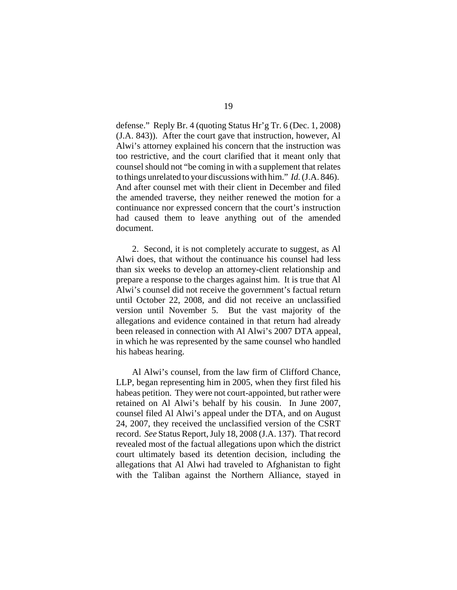defense." Reply Br. 4 (quoting Status Hr'g Tr. 6 (Dec. 1, 2008) (J.A. 843)). After the court gave that instruction, however, Al Alwi's attorney explained his concern that the instruction was too restrictive, and the court clarified that it meant only that counsel should not "be coming in with a supplement that relates to things unrelated to your discussions with him." *Id.* (J.A. 846). And after counsel met with their client in December and filed the amended traverse, they neither renewed the motion for a continuance nor expressed concern that the court's instruction had caused them to leave anything out of the amended document.

2. Second, it is not completely accurate to suggest, as Al Alwi does, that without the continuance his counsel had less than six weeks to develop an attorney-client relationship and prepare a response to the charges against him. It is true that Al Alwi's counsel did not receive the government's factual return until October 22, 2008, and did not receive an unclassified version until November 5. But the vast majority of the allegations and evidence contained in that return had already been released in connection with Al Alwi's 2007 DTA appeal, in which he was represented by the same counsel who handled his habeas hearing.

Al Alwi's counsel, from the law firm of Clifford Chance, LLP, began representing him in 2005, when they first filed his habeas petition. They were not court-appointed, but rather were retained on Al Alwi's behalf by his cousin. In June 2007, counsel filed Al Alwi's appeal under the DTA, and on August 24, 2007, they received the unclassified version of the CSRT record. *See* Status Report, July 18, 2008 (J.A. 137). That record revealed most of the factual allegations upon which the district court ultimately based its detention decision, including the allegations that Al Alwi had traveled to Afghanistan to fight with the Taliban against the Northern Alliance, stayed in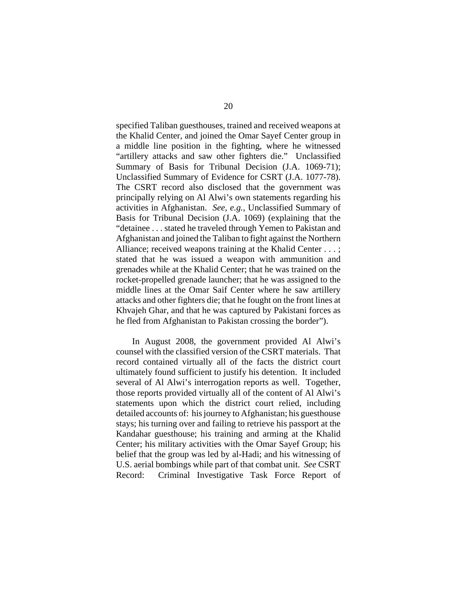specified Taliban guesthouses, trained and received weapons at the Khalid Center, and joined the Omar Sayef Center group in a middle line position in the fighting, where he witnessed "artillery attacks and saw other fighters die." Unclassified Summary of Basis for Tribunal Decision (J.A. 1069-71); Unclassified Summary of Evidence for CSRT (J.A. 1077-78). The CSRT record also disclosed that the government was principally relying on Al Alwi's own statements regarding his activities in Afghanistan. *See, e.g.*, Unclassified Summary of Basis for Tribunal Decision (J.A. 1069) (explaining that the "detainee . . . stated he traveled through Yemen to Pakistan and Afghanistan and joined the Taliban to fight against the Northern Alliance; received weapons training at the Khalid Center . . . ; stated that he was issued a weapon with ammunition and grenades while at the Khalid Center; that he was trained on the rocket-propelled grenade launcher; that he was assigned to the middle lines at the Omar Saif Center where he saw artillery attacks and other fighters die; that he fought on the front lines at Khvajeh Ghar, and that he was captured by Pakistani forces as he fled from Afghanistan to Pakistan crossing the border").

In August 2008, the government provided Al Alwi's counsel with the classified version of the CSRT materials. That record contained virtually all of the facts the district court ultimately found sufficient to justify his detention. It included several of Al Alwi's interrogation reports as well. Together, those reports provided virtually all of the content of Al Alwi's statements upon which the district court relied, including detailed accounts of: his journey to Afghanistan; his guesthouse stays; his turning over and failing to retrieve his passport at the Kandahar guesthouse; his training and arming at the Khalid Center; his military activities with the Omar Sayef Group; his belief that the group was led by al-Hadi; and his witnessing of U.S. aerial bombings while part of that combat unit. *See* CSRT Record: Criminal Investigative Task Force Report of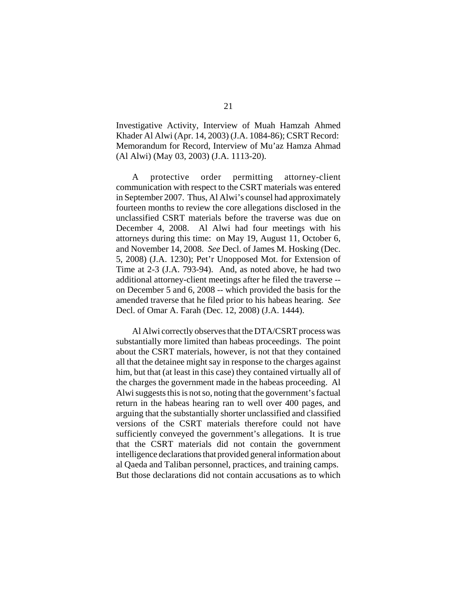Investigative Activity, Interview of Muah Hamzah Ahmed Khader Al Alwi (Apr. 14, 2003) (J.A. 1084-86); CSRT Record: Memorandum for Record, Interview of Mu'az Hamza Ahmad (Al Alwi) (May 03, 2003) (J.A. 1113-20).

A protective order permitting attorney-client communication with respect to the CSRT materials was entered in September 2007. Thus, Al Alwi's counsel had approximately fourteen months to review the core allegations disclosed in the unclassified CSRT materials before the traverse was due on December 4, 2008. Al Alwi had four meetings with his attorneys during this time: on May 19, August 11, October 6, and November 14, 2008. *See* Decl. of James M. Hosking (Dec. 5, 2008) (J.A. 1230); Pet'r Unopposed Mot. for Extension of Time at 2-3 (J.A. 793-94). And, as noted above, he had two additional attorney-client meetings after he filed the traverse - on December 5 and 6, 2008 -- which provided the basis for the amended traverse that he filed prior to his habeas hearing. *See* Decl. of Omar A. Farah (Dec. 12, 2008) (J.A. 1444).

Al Alwi correctly observes that the DTA/CSRT process was substantially more limited than habeas proceedings. The point about the CSRT materials, however, is not that they contained all that the detainee might say in response to the charges against him, but that (at least in this case) they contained virtually all of the charges the government made in the habeas proceeding. Al Alwi suggests this is not so, noting that the government's factual return in the habeas hearing ran to well over 400 pages, and arguing that the substantially shorter unclassified and classified versions of the CSRT materials therefore could not have sufficiently conveyed the government's allegations. It is true that the CSRT materials did not contain the government intelligence declarations that provided general information about al Qaeda and Taliban personnel, practices, and training camps. But those declarations did not contain accusations as to which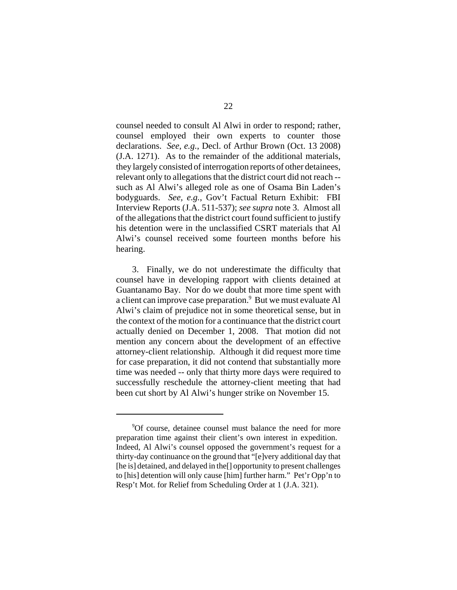counsel needed to consult Al Alwi in order to respond; rather, counsel employed their own experts to counter those declarations. *See, e.g.*, Decl. of Arthur Brown (Oct. 13 2008) (J.A. 1271). As to the remainder of the additional materials, they largely consisted of interrogation reports of other detainees, relevant only to allegations that the district court did not reach - such as Al Alwi's alleged role as one of Osama Bin Laden's bodyguards. *See, e.g.*, Gov't Factual Return Exhibit: FBI Interview Reports (J.A. 511-537); *see supra* note 3. Almost all of the allegations that the district court found sufficient to justify his detention were in the unclassified CSRT materials that Al Alwi's counsel received some fourteen months before his hearing.

3. Finally, we do not underestimate the difficulty that counsel have in developing rapport with clients detained at Guantanamo Bay. Nor do we doubt that more time spent with a client can improve case preparation.<sup>9</sup> But we must evaluate Al Alwi's claim of prejudice not in some theoretical sense, but in the context of the motion for a continuance that the district court actually denied on December 1, 2008. That motion did not mention any concern about the development of an effective attorney-client relationship. Although it did request more time for case preparation, it did not contend that substantially more time was needed -- only that thirty more days were required to successfully reschedule the attorney-client meeting that had been cut short by Al Alwi's hunger strike on November 15.

<sup>9</sup> Of course, detainee counsel must balance the need for more preparation time against their client's own interest in expedition. Indeed, Al Alwi's counsel opposed the government's request for a thirty-day continuance on the ground that "[e]very additional day that [he is] detained, and delayed in the<sup>[]</sup> opportunity to present challenges to [his] detention will only cause [him] further harm." Pet'r Opp'n to Resp't Mot. for Relief from Scheduling Order at 1 (J.A. 321).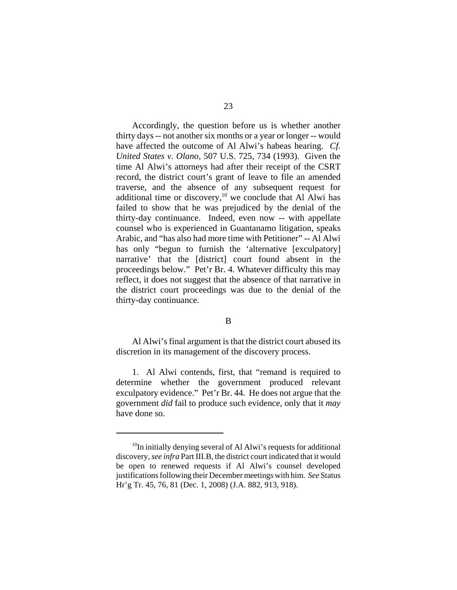Accordingly, the question before us is whether another thirty days -- not another six months or a year or longer -- would have affected the outcome of Al Alwi's habeas hearing. *Cf. United States v. Olano*, 507 U.S. 725, 734 (1993). Given the time Al Alwi's attorneys had after their receipt of the CSRT record, the district court's grant of leave to file an amended traverse, and the absence of any subsequent request for additional time or discovery, $10$  we conclude that Al Alwi has failed to show that he was prejudiced by the denial of the thirty-day continuance. Indeed, even now -- with appellate counsel who is experienced in Guantanamo litigation, speaks Arabic, and "has also had more time with Petitioner" -- Al Alwi has only "begun to furnish the 'alternative [exculpatory] narrative' that the [district] court found absent in the proceedings below." Pet'r Br. 4. Whatever difficulty this may reflect, it does not suggest that the absence of that narrative in the district court proceedings was due to the denial of the thirty-day continuance.

## B

Al Alwi's final argument is that the district court abused its discretion in its management of the discovery process.

1. Al Alwi contends, first, that "remand is required to determine whether the government produced relevant exculpatory evidence." Pet'r Br. 44. He does not argue that the government *did* fail to produce such evidence, only that it *may* have done so.

 $10$ In initially denying several of Al Alwi's requests for additional discovery, *see infra* Part III.B, the district court indicated that it would be open to renewed requests if Al Alwi's counsel developed justifications following their December meetings with him. *See* Status Hr'g Tr. 45, 76, 81 (Dec. 1, 2008) (J.A. 882, 913, 918).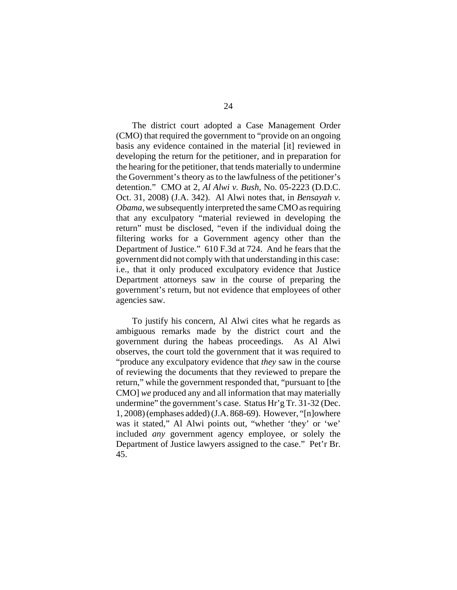The district court adopted a Case Management Order (CMO) that required the government to "provide on an ongoing basis any evidence contained in the material [it] reviewed in developing the return for the petitioner, and in preparation for the hearing for the petitioner, that tends materially to undermine the Government's theory as to the lawfulness of the petitioner's detention." CMO at 2, *Al Alwi v. Bush*, No. 05-2223 (D.D.C. Oct. 31, 2008) (J.A. 342). Al Alwi notes that, in *Bensayah v. Obama*, we subsequently interpreted the same CMO as requiring that any exculpatory "material reviewed in developing the return" must be disclosed, "even if the individual doing the filtering works for a Government agency other than the Department of Justice." 610 F.3d at 724. And he fears that the government did not comply with that understanding in this case: i.e., that it only produced exculpatory evidence that Justice Department attorneys saw in the course of preparing the government's return, but not evidence that employees of other agencies saw.

To justify his concern, Al Alwi cites what he regards as ambiguous remarks made by the district court and the government during the habeas proceedings. As Al Alwi observes, the court told the government that it was required to "produce any exculpatory evidence that *they* saw in the course of reviewing the documents that they reviewed to prepare the return," while the government responded that, "pursuant to [the CMO] *we* produced any and all information that may materially undermine" the government's case. Status Hr'g Tr. 31-32 (Dec. 1, 2008) (emphases added) (J.A. 868-69). However, "[n]owhere was it stated," Al Alwi points out, "whether 'they' or 'we' included *any* government agency employee, or solely the Department of Justice lawyers assigned to the case." Pet'r Br. 45.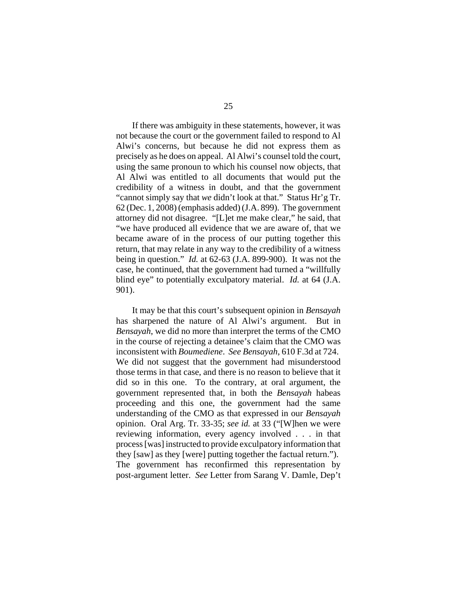If there was ambiguity in these statements, however, it was not because the court or the government failed to respond to Al Alwi's concerns, but because he did not express them as precisely as he does on appeal. Al Alwi's counsel told the court, using the same pronoun to which his counsel now objects, that Al Alwi was entitled to all documents that would put the credibility of a witness in doubt, and that the government "cannot simply say that *we* didn't look at that." Status Hr'g Tr. 62 (Dec. 1, 2008) (emphasis added) (J.A. 899). The government attorney did not disagree. "[L]et me make clear," he said, that "we have produced all evidence that we are aware of, that we became aware of in the process of our putting together this return, that may relate in any way to the credibility of a witness being in question." *Id.* at 62-63 (J.A. 899-900). It was not the case, he continued, that the government had turned a "willfully blind eye" to potentially exculpatory material. *Id.* at 64 (J.A. 901).

It may be that this court's subsequent opinion in *Bensayah* has sharpened the nature of Al Alwi's argument. But in *Bensayah*, we did no more than interpret the terms of the CMO in the course of rejecting a detainee's claim that the CMO was inconsistent with *Boumediene*. *See Bensayah*, 610 F.3d at 724. We did not suggest that the government had misunderstood those terms in that case, and there is no reason to believe that it did so in this one. To the contrary, at oral argument, the government represented that, in both the *Bensayah* habeas proceeding and this one, the government had the same understanding of the CMO as that expressed in our *Bensayah* opinion. Oral Arg. Tr. 33-35; *see id.* at 33 ("[W]hen we were reviewing information, every agency involved . . . in that process [was] instructed to provide exculpatory information that they [saw] as they [were] putting together the factual return."). The government has reconfirmed this representation by post-argument letter. *See* Letter from Sarang V. Damle, Dep't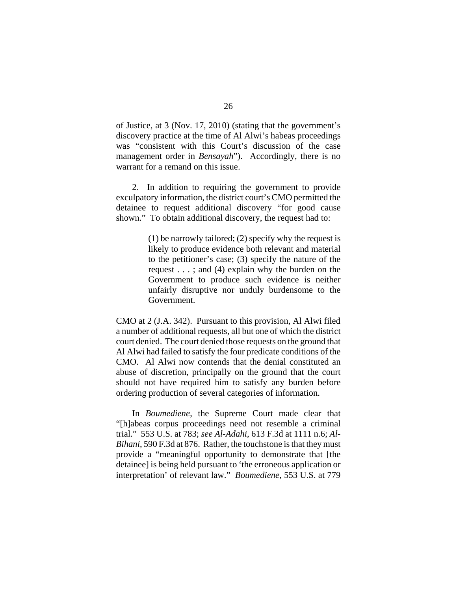of Justice, at 3 (Nov. 17, 2010) (stating that the government's discovery practice at the time of Al Alwi's habeas proceedings was "consistent with this Court's discussion of the case management order in *Bensayah*"). Accordingly, there is no warrant for a remand on this issue.

2. In addition to requiring the government to provide exculpatory information, the district court's CMO permitted the detainee to request additional discovery "for good cause shown." To obtain additional discovery, the request had to:

> (1) be narrowly tailored; (2) specify why the request is likely to produce evidence both relevant and material to the petitioner's case; (3) specify the nature of the request . . . ; and (4) explain why the burden on the Government to produce such evidence is neither unfairly disruptive nor unduly burdensome to the Government.

CMO at 2 (J.A. 342). Pursuant to this provision, Al Alwi filed a number of additional requests, all but one of which the district court denied. The court denied those requests on the ground that Al Alwi had failed to satisfy the four predicate conditions of the CMO. Al Alwi now contends that the denial constituted an abuse of discretion, principally on the ground that the court should not have required him to satisfy any burden before ordering production of several categories of information.

In *Boumediene*, the Supreme Court made clear that "[h]abeas corpus proceedings need not resemble a criminal trial." 553 U.S. at 783; *see Al-Adahi*, 613 F.3d at 1111 n.6; *Al-Bihani*, 590 F.3d at 876. Rather, the touchstone is that they must provide a "meaningful opportunity to demonstrate that [the detainee] is being held pursuant to 'the erroneous application or interpretation' of relevant law." *Boumediene*, 553 U.S. at 779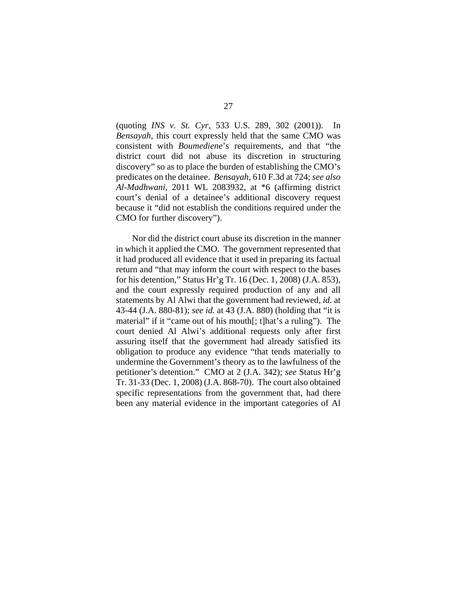(quoting *INS v. St. Cyr*, 533 U.S. 289, 302 (2001)). In *Bensayah*, this court expressly held that the same CMO was consistent with *Boumediene*'s requirements, and that "the district court did not abuse its discretion in structuring discovery" so as to place the burden of establishing the CMO's predicates on the detainee. *Bensayah*, 610 F.3d at 724; *see also Al-Madhwani*, 2011 WL 2083932, at \*6 (affirming district court's denial of a detainee's additional discovery request because it "did not establish the conditions required under the CMO for further discovery").

Nor did the district court abuse its discretion in the manner in which it applied the CMO. The government represented that it had produced all evidence that it used in preparing its factual return and "that may inform the court with respect to the bases for his detention," Status Hr'g Tr. 16 (Dec. 1, 2008) (J.A. 853), and the court expressly required production of any and all statements by Al Alwi that the government had reviewed, *id.* at 43-44 (J.A. 880-81); *see id.* at 43 (J.A. 880) (holding that "it is material" if it "came out of his mouth[; t]hat's a ruling"). The court denied Al Alwi's additional requests only after first assuring itself that the government had already satisfied its obligation to produce any evidence "that tends materially to undermine the Government's theory as to the lawfulness of the petitioner's detention." CMO at 2 (J.A. 342); *see* Status Hr'g Tr. 31-33 (Dec. 1, 2008) (J.A. 868-70). The court also obtained specific representations from the government that, had there been any material evidence in the important categories of Al